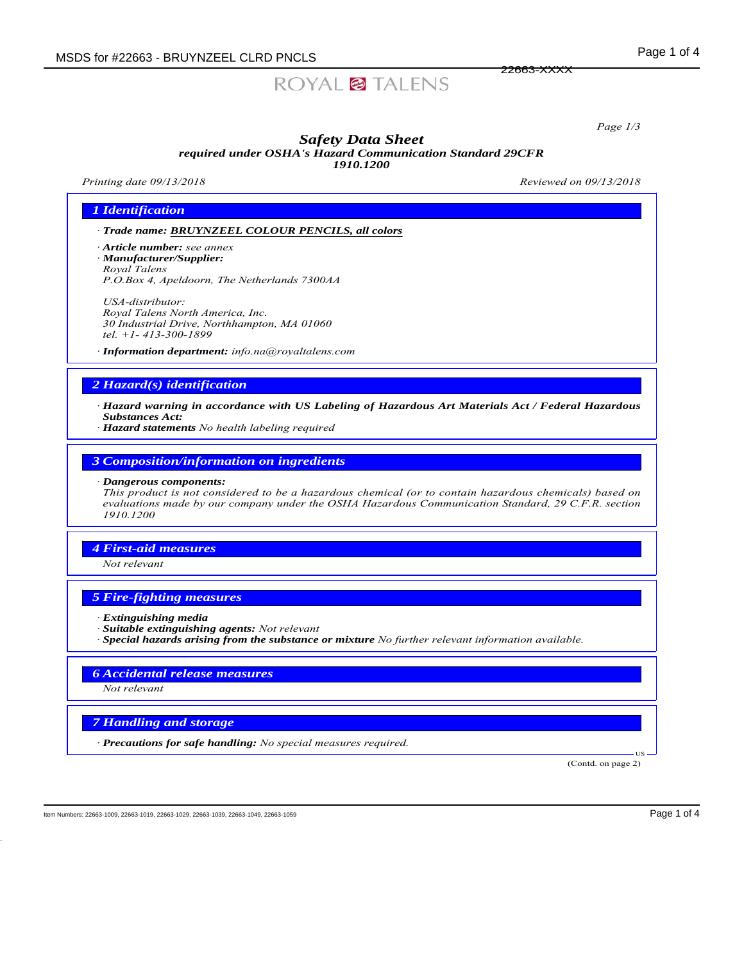# ROYAL<sup>2</sup> TALENS

*Page 1/3*

#### *Safety Data Sheet required under OSHA's Hazard Communication Standard 29CFR 1910.1200*

*Printing date 09/13/2018 Reviewed on 09/13/2018*

22663-XXXX

## *1 Identification*

*ꞏ Trade name: BRUYNZEEL COLOUR PENCILS, all colors*

*ꞏ Article number: see annex ꞏ Manufacturer/Supplier: Royal Talens P.O.Box 4, Apeldoorn, The Netherlands 7300AA*

*USA-distributor: Royal Talens North America, Inc. 30 Industrial Drive, Northhampton, MA 01060 tel. +1- 413-300-1899*

*ꞏ Information department: info.na@royaltalens.com*

## *2 Hazard(s) identification*

*ꞏ Hazard warning in accordance with US Labeling of Hazardous Art Materials Act / Federal Hazardous Substances Act:*

*ꞏ Hazard statements No health labeling required*

## *3 Composition/information on ingredients*

#### *ꞏ Dangerous components:*

*This product is not considered to be a hazardous chemical (or to contain hazardous chemicals) based on evaluations made by our company under the OSHA Hazardous Communication Standard, 29 C.F.R. section 1910.1200*

#### *4 First-aid measures*

*Not relevant*

## *5 Fire-fighting measures*

- *ꞏ Extinguishing media*
- *ꞏ Suitable extinguishing agents: Not relevant*
- *ꞏ Special hazards arising from the substance or mixture No further relevant information available.*

## *6 Accidental release measures*

*Not relevant*

## *7 Handling and storage*

*ꞏ Precautions for safe handling: No special measures required.*

(Contd. on page 2)

US

Item Numbers: 22663-1009, 22663-1019, 22663-1029, 22663-1039, 22663-1049, 22663-1059 Page 1 of 4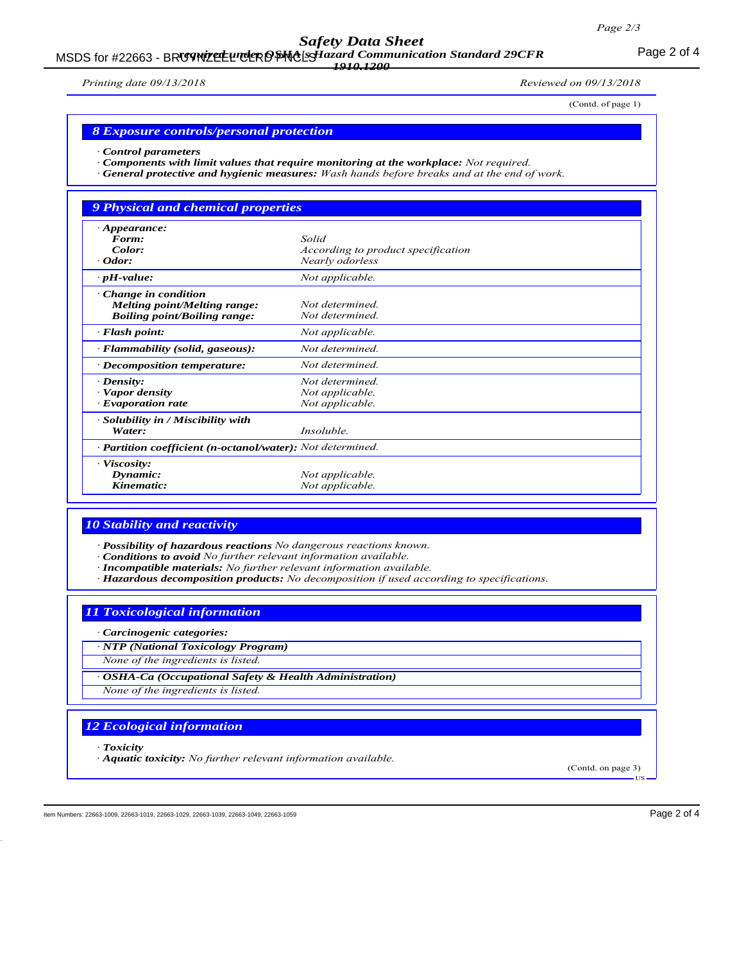*Safety Data Sheet*

## MSDS for #22663 - BRUYNTEL UNDER OF NO EST azard Communication Standard 29CFR<br>MSDS for #22663 - BRUYNTEL UNDER OF PLACES IS 2000 *1910.1200*

*Printing date 09/13/2018 Reviewed on 09/13/2018*

(Contd. of page 1)

#### *8 Exposure controls/personal protection*

*ꞏ Control parameters*

- *ꞏ Components with limit values that require monitoring at the workplace: Not required.*
- *ꞏ General protective and hygienic measures: Wash hands before breaks and at the end of work.*

## *9 Physical and chemical properties ꞏ Appearance: Form: Solid Color: According to product specification ꞏ Odor: Nearly odorless <i>rH***-value:** *Not applicable. ꞏ Change in condition Melting point/Melting range: Not determined.*  $B\text{oiling point}/B\text{oiling range}$ : *ꞏ Flash point: Not applicable. ꞏ Flammability (solid, gaseous): Not determined. ꞏ Decomposition temperature: Not determined. <i>•**Density: Not determined.*<br>*• Vapor density Not applicable.*  $Not$  *applicable*. *ꞏ Evaporation rate Not applicable. ꞏ Solubility in / Miscibility with*

| $\cdot$ <b>Partition coefficient (n-octanol/water):</b> Not determined. |                 |
|-------------------------------------------------------------------------|-----------------|
| Viscosity:                                                              |                 |
| Dynamic:                                                                | Not applicable. |
| Kinematic:                                                              | Not applicable. |

*Water: Insoluble.*

## *10 Stability and reactivity*

*ꞏ Possibility of hazardous reactions No dangerous reactions known.*

- *ꞏ Conditions to avoid No further relevant information available.*
- *ꞏ Incompatible materials: No further relevant information available.*
- *ꞏ Hazardous decomposition products: No decomposition if used according to specifications.*

#### *11 Toxicological information*

*ꞏ Carcinogenic categories:*

*ꞏ NTP (National Toxicology Program)*

*None of the ingredients is listed.*

*ꞏ OSHA-Ca (Occupational Safety & Health Administration)*

*None of the ingredients is listed.*

#### *12 Ecological information*

*ꞏ Toxicity*

*ꞏ Aquatic toxicity: No further relevant information available.*

(Contd. on page 3) US

Item Numbers: 22663-1009, 22663-1019, 22663-1029, 22663-1039, 22663-1049, 22663-1059 Page 2 of 4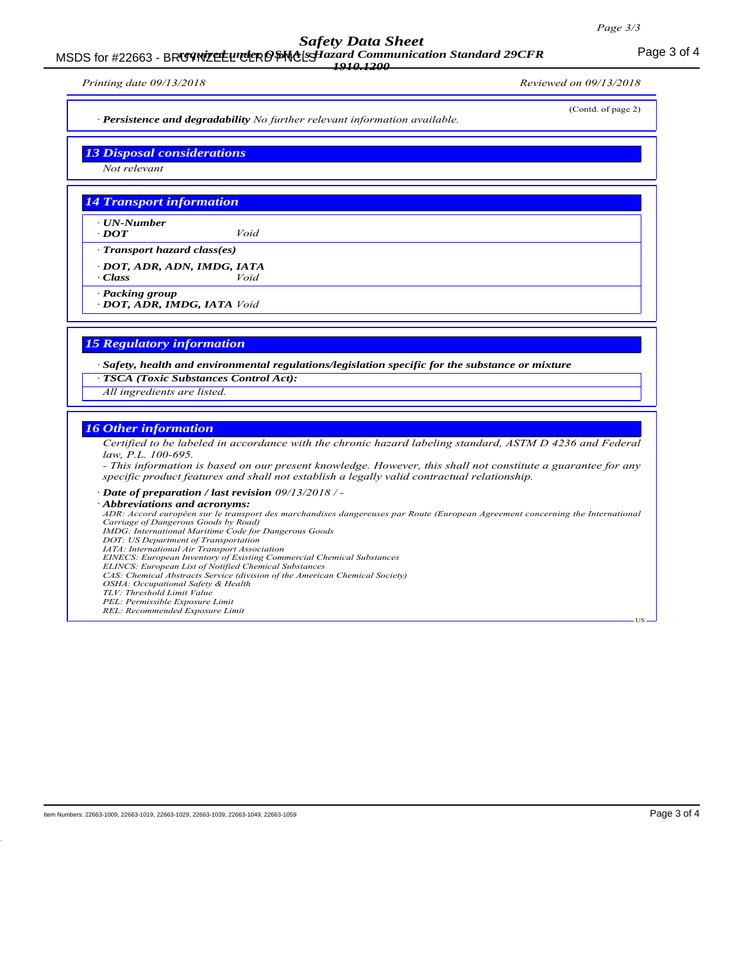## *Safety Data Sheet*

## MSDS for #22663 - BRUYNTEL UNDER OF NO EST azard Communication Standard 29CFR<br>MSDS for #22663 - BRUYNTEL UNDER OF PLACES IS 2000 *1910.1200*

*Printing date 09/13/2018 Reviewed on 09/13/2018*

(Contd. of page 2)

*ꞏ Persistence and degradability No further relevant information available.*

*13 Disposal considerations*

*Not relevant*

## *14 Transport information*

*ꞏ UN-Number ꞏ DOT Void*

*ꞏ Transport hazard class(es)*

*ꞏ DOT, ADR, ADN, IMDG, IATA ꞏ Class Void*

*ꞏ Packing group*

*ꞏ DOT, ADR, IMDG, IATA Void*

## *15 Regulatory information*

*ꞏ Safety, health and environmental regulations/legislation specific for the substance or mixture*

*ꞏ TSCA (Toxic Substances Control Act):*

*All ingredients are listed.*

## *16 Other information*

*Certified to be labeled in accordance with the chronic hazard labeling standard, ASTM D 4236 and Federal law, P.L. 100-695.*

*- This information is based on our present knowledge. However, this shall not constitute a guarantee for any specific product features and shall not establish a legally valid contractual relationship.*

*ꞏ Date of preparation / last revision 09/13/2018 / -*

*ꞏ Abbreviations and acronyms:*

*ADR: Accord européen sur le transport des marchandises dangereuses par Route (European Agreement concerning the International Carriage of Dangerous Goods by Road) IMDG: International Maritime Code for Dangerous Goods DOT: US Department of Transportation IATA: International Air Transport Association EINECS: European Inventory of Existing Commercial Chemical Substances*

*ELINCS: European List of Notified Chemical Substances*

*CAS: Chemical Abstracts Service (division of the American Chemical Society)*

*OSHA: Occupational Safety & Health*

*TLV: Threshold Limit Value*

*PEL: Permissible Exposure Limit REL: Recommended Exposure Limit*

US